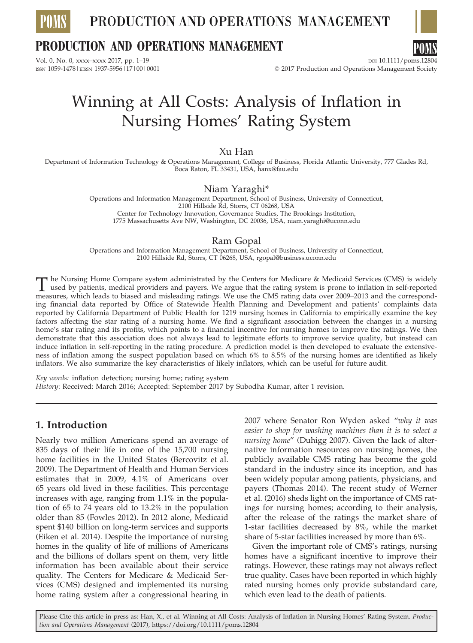

# **PRODUCTION AND OPERATIONS MANAGEMENT**

Vol. 0, No. 0, xxxx–xxxx 2017, pp. 1–19 **DOI 10.1111**/poms.12804<br>ISSN 1059-1478 EISSN 1937-5956 17 100 10001 **DEEN CONFINENT OF LARGE 2017** Production and Operations Management Society



 $\oslash$  2017 Production and Operations Management Society

# Winning at All Costs: Analysis of Inflation in Nursing Homes' Rating System

Xu Han

Department of Information Technology & Operations Management, College of Business, Florida Atlantic University, 777 Glades Rd, Boca Raton, FL 33431, USA, hanx@fau.edu

#### Niam Yaraghi\*

Operations and Information Management Department, School of Business, University of Connecticut, 2100 Hillside Rd, Storrs, CT 06268, USA Center for Technology Innovation, Governance Studies, The Brookings Institution, 1775 Massachusetts Ave NW, Washington, DC 20036, USA, niam.yaraghi@uconn.edu

### Ram Gopal

Operations and Information Management Department, School of Business, University of Connecticut, 2100 Hillside Rd, Storrs, CT 06268, USA, rgopal@business.uconn.edu

The Nursing Home Compare system administrated by the Centers for Medicare & Medicaid Services (CMS) is widely<br>used by patients, medical providers and payers. We argue that the rating system is prone to inflation in self-re measures, which leads to biased and misleading ratings. We use the CMS rating data over 2009–2013 and the corresponding financial data reported by Office of Statewide Health Planning and Development and patients' complaints data reported by California Department of Public Health for 1219 nursing homes in California to empirically examine the key factors affecting the star rating of a nursing home. We find a significant association between the changes in a nursing home's star rating and its profits, which points to a financial incentive for nursing homes to improve the ratings. We then demonstrate that this association does not always lead to legitimate efforts to improve service quality, but instead can induce inflation in self-reporting in the rating procedure. A prediction model is then developed to evaluate the extensiveness of inflation among the suspect population based on which 6% to 8.5% of the nursing homes are identified as likely inflators. We also summarize the key characteristics of likely inflators, which can be useful for future audit.

Key words: inflation detection; nursing home; rating system History: Received: March 2016; Accepted: September 2017 by Subodha Kumar, after 1 revision.

## 1. Introduction

Nearly two million Americans spend an average of 835 days of their life in one of the 15,700 nursing home facilities in the United States (Bercovitz et al. 2009). The Department of Health and Human Services estimates that in 2009, 4.1% of Americans over 65 years old lived in these facilities. This percentage increases with age, ranging from 1.1% in the population of 65 to 74 years old to 13.2% in the population older than 85 (Fowles 2012). In 2012 alone, Medicaid spent \$140 billion on long-term services and supports (Eiken et al. 2014). Despite the importance of nursing homes in the quality of life of millions of Americans and the billions of dollars spent on them, very little information has been available about their service quality. The Centers for Medicare & Medicaid Services (CMS) designed and implemented its nursing home rating system after a congressional hearing in

2007 where Senator Ron Wyden asked "why it was easier to shop for washing machines than it is to select a nursing home" (Duhigg 2007). Given the lack of alternative information resources on nursing homes, the publicly available CMS rating has become the gold standard in the industry since its inception, and has been widely popular among patients, physicians, and payers (Thomas 2014). The recent study of Werner et al. (2016) sheds light on the importance of CMS ratings for nursing homes; according to their analysis, after the release of the ratings the market share of 1-star facilities decreased by 8%, while the market share of 5-star facilities increased by more than 6%.

Given the important role of CMS's ratings, nursing homes have a significant incentive to improve their ratings. However, these ratings may not always reflect true quality. Cases have been reported in which highly rated nursing homes only provide substandard care, which even lead to the death of patients.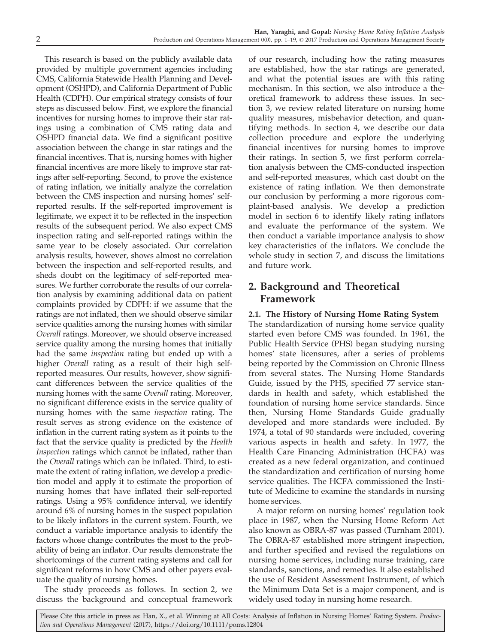This research is based on the publicly available data provided by multiple government agencies including CMS, California Statewide Health Planning and Development (OSHPD), and California Department of Public Health (CDPH). Our empirical strategy consists of four steps as discussed below. First, we explore the financial incentives for nursing homes to improve their star ratings using a combination of CMS rating data and OSHPD financial data. We find a significant positive association between the change in star ratings and the financial incentives. That is, nursing homes with higher financial incentives are more likely to improve star ratings after self-reporting. Second, to prove the existence of rating inflation, we initially analyze the correlation between the CMS inspection and nursing homes' selfreported results. If the self-reported improvement is legitimate, we expect it to be reflected in the inspection results of the subsequent period. We also expect CMS inspection rating and self-reported ratings within the same year to be closely associated. Our correlation analysis results, however, shows almost no correlation between the inspection and self-reported results, and sheds doubt on the legitimacy of self-reported measures. We further corroborate the results of our correlation analysis by examining additional data on patient complaints provided by CDPH: if we assume that the ratings are not inflated, then we should observe similar service qualities among the nursing homes with similar Overall ratings. Moreover, we should observe increased service quality among the nursing homes that initially had the same inspection rating but ended up with a higher Overall rating as a result of their high selfreported measures. Our results, however, show significant differences between the service qualities of the nursing homes with the same Overall rating. Moreover, no significant difference exists in the service quality of nursing homes with the same inspection rating. The result serves as strong evidence on the existence of inflation in the current rating system as it points to the fact that the service quality is predicted by the Health Inspection ratings which cannot be inflated, rather than the Overall ratings which can be inflated. Third, to estimate the extent of rating inflation, we develop a prediction model and apply it to estimate the proportion of nursing homes that have inflated their self-reported ratings. Using a 95% confidence interval, we identify around 6% of nursing homes in the suspect population to be likely inflators in the current system. Fourth, we conduct a variable importance analysis to identify the factors whose change contributes the most to the probability of being an inflator. Our results demonstrate the shortcomings of the current rating systems and call for significant reforms in how CMS and other payers evaluate the quality of nursing homes.

The study proceeds as follows. In section 2, we discuss the background and conceptual framework of our research, including how the rating measures are established, how the star ratings are generated, and what the potential issues are with this rating mechanism. In this section, we also introduce a theoretical framework to address these issues. In section 3, we review related literature on nursing home quality measures, misbehavior detection, and quantifying methods. In section 4, we describe our data collection procedure and explore the underlying financial incentives for nursing homes to improve their ratings. In section 5, we first perform correlation analysis between the CMS-conducted inspection and self-reported measures, which cast doubt on the existence of rating inflation. We then demonstrate our conclusion by performing a more rigorous complaint-based analysis. We develop a prediction model in section 6 to identify likely rating inflators and evaluate the performance of the system. We then conduct a variable importance analysis to show key characteristics of the inflators. We conclude the whole study in section 7, and discuss the limitations and future work.

# 2. Background and Theoretical Framework

#### 2.1. The History of Nursing Home Rating System

The standardization of nursing home service quality started even before CMS was founded. In 1961, the Public Health Service (PHS) began studying nursing homes' state licensures, after a series of problems being reported by the Commission on Chronic Illness from several states. The Nursing Home Standards Guide, issued by the PHS, specified 77 service standards in health and safety, which established the foundation of nursing home service standards. Since then, Nursing Home Standards Guide gradually developed and more standards were included. By 1974, a total of 90 standards were included, covering various aspects in health and safety. In 1977, the Health Care Financing Administration (HCFA) was created as a new federal organization, and continued the standardization and certification of nursing home service qualities. The HCFA commissioned the Institute of Medicine to examine the standards in nursing home services.

A major reform on nursing homes' regulation took place in 1987, when the Nursing Home Reform Act also known as OBRA-87 was passed (Turnham 2001). The OBRA-87 established more stringent inspection, and further specified and revised the regulations on nursing home services, including nurse training, care standards, sanctions, and remedies. It also established the use of Resident Assessment Instrument, of which the Minimum Data Set is a major component, and is widely used today in nursing home research.

Please Cite this article in press as: Han, X., et al. Winning at All Costs: Analysis of Inflation in Nursing Homes' Rating System. Production and Operations Management (2017),<https://doi.org/10.1111/poms.12804>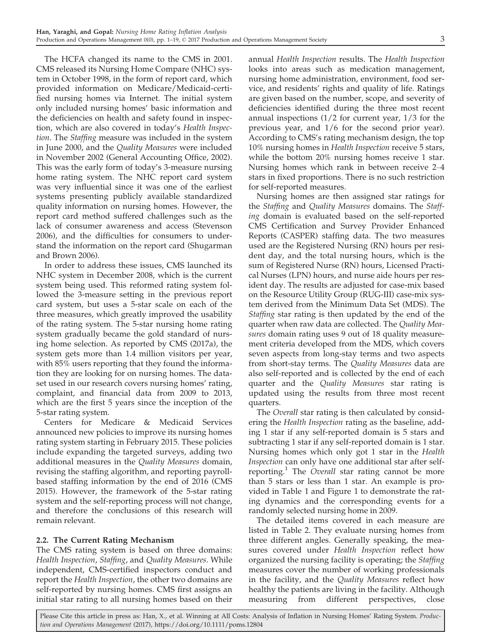The HCFA changed its name to the CMS in 2001. CMS released its Nursing Home Compare (NHC) system in October 1998, in the form of report card, which provided information on Medicare/Medicaid-certified nursing homes via Internet. The initial system only included nursing homes' basic information and the deficiencies on health and safety found in inspection, which are also covered in today's Health Inspection. The Staffing measure was included in the system in June 2000, and the Quality Measures were included in November 2002 (General Accounting Office, 2002). This was the early form of today's 3-measure nursing home rating system. The NHC report card system was very influential since it was one of the earliest systems presenting publicly available standardized quality information on nursing homes. However, the report card method suffered challenges such as the lack of consumer awareness and access (Stevenson 2006), and the difficulties for consumers to understand the information on the report card (Shugarman and Brown 2006).

In order to address these issues, CMS launched its NHC system in December 2008, which is the current system being used. This reformed rating system followed the 3-measure setting in the previous report card system, but uses a 5-star scale on each of the three measures, which greatly improved the usability of the rating system. The 5-star nursing home rating system gradually became the gold standard of nursing home selection. As reported by CMS (2017a), the system gets more than 1.4 million visitors per year, with 85% users reporting that they found the information they are looking for on nursing homes. The dataset used in our research covers nursing homes' rating, complaint, and financial data from 2009 to 2013, which are the first 5 years since the inception of the 5-star rating system.

Centers for Medicare & Medicaid Services announced new policies to improve its nursing homes rating system starting in February 2015. These policies include expanding the targeted surveys, adding two additional measures in the Quality Measures domain, revising the staffing algorithm, and reporting payrollbased staffing information by the end of 2016 (CMS 2015). However, the framework of the 5-star rating system and the self-reporting process will not change, and therefore the conclusions of this research will remain relevant.

#### 2.2. The Current Rating Mechanism

The CMS rating system is based on three domains: Health Inspection, Staffing, and Quality Measures. While independent, CMS-certified inspectors conduct and report the Health Inspection, the other two domains are self-reported by nursing homes. CMS first assigns an initial star rating to all nursing homes based on their

annual Health Inspection results. The Health Inspection looks into areas such as medication management, nursing home administration, environment, food service, and residents' rights and quality of life. Ratings are given based on the number, scope, and severity of deficiencies identified during the three most recent annual inspections (1/2 for current year, 1/3 for the previous year, and 1/6 for the second prior year). According to CMS's rating mechanism design, the top 10% nursing homes in Health Inspection receive 5 stars, while the bottom 20% nursing homes receive 1 star. Nursing homes which rank in between receive 2–4 stars in fixed proportions. There is no such restriction for self-reported measures.

Nursing homes are then assigned star ratings for the Staffing and Quality Measures domains. The Staffing domain is evaluated based on the self-reported CMS Certification and Survey Provider Enhanced Reports (CASPER) staffing data. The two measures used are the Registered Nursing (RN) hours per resident day, and the total nursing hours, which is the sum of Registered Nurse (RN) hours, Licensed Practical Nurses (LPN) hours, and nurse aide hours per resident day. The results are adjusted for case-mix based on the Resource Utility Group (RUG-III) case-mix system derived from the Minimum Data Set (MDS). The Staffing star rating is then updated by the end of the quarter when raw data are collected. The Quality Measures domain rating uses 9 out of 18 quality measurement criteria developed from the MDS, which covers seven aspects from long-stay terms and two aspects from short-stay terms. The Quality Measures data are also self-reported and is collected by the end of each quarter and the Quality Measures star rating is updated using the results from three most recent quarters.

The Overall star rating is then calculated by considering the Health Inspection rating as the baseline, adding 1 star if any self-reported domain is 5 stars and subtracting 1 star if any self-reported domain is 1 star. Nursing homes which only got 1 star in the Health Inspection can only have one additional star after selfreporting.<sup>1</sup> The Overall star rating cannot be more than 5 stars or less than 1 star. An example is provided in Table 1 and Figure 1 to demonstrate the rating dynamics and the corresponding events for a randomly selected nursing home in 2009.

The detailed items covered in each measure are listed in Table 2. They evaluate nursing homes from three different angles. Generally speaking, the measures covered under Health Inspection reflect how organized the nursing facility is operating; the Staffing measures cover the number of working professionals in the facility, and the Quality Measures reflect how healthy the patients are living in the facility. Although measuring from different perspectives, close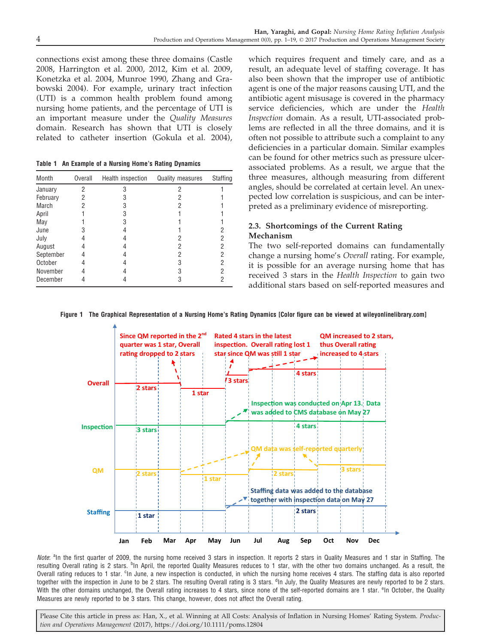connections exist among these three domains (Castle 2008, Harrington et al. 2000, 2012, Kim et al. 2009, Konetzka et al. 2004, Munroe 1990, Zhang and Grabowski 2004). For example, urinary tract infection (UTI) is a common health problem found among nursing home patients, and the percentage of UTI is an important measure under the Quality Measures domain. Research has shown that UTI is closely related to catheter insertion (Gokula et al. 2004),

|  |  | Table 1 An Example of a Nursing Home's Rating Dynamics |  |  |  |  |  |
|--|--|--------------------------------------------------------|--|--|--|--|--|
|--|--|--------------------------------------------------------|--|--|--|--|--|

| Month     | Overall | Health inspection | <b>Quality measures</b> | Staffing |
|-----------|---------|-------------------|-------------------------|----------|
| January   | 2       | 3                 | 2                       |          |
| February  | 2       | З                 |                         |          |
| March     |         | 3                 |                         |          |
| April     |         | 3                 |                         |          |
| May       |         |                   |                         |          |
| June      | 3       |                   |                         |          |
| July      |         |                   |                         | 2        |
| August    |         |                   | 2                       | 2        |
| September |         |                   |                         | 2        |
| October   |         |                   | 3                       | 2        |
| November  |         |                   |                         | 2        |
| December  |         |                   | 3                       | 2        |

which requires frequent and timely care, and as a result, an adequate level of staffing coverage. It has also been shown that the improper use of antibiotic agent is one of the major reasons causing UTI, and the antibiotic agent misusage is covered in the pharmacy service deficiencies, which are under the Health Inspection domain. As a result, UTI-associated problems are reflected in all the three domains, and it is often not possible to attribute such a complaint to any deficiencies in a particular domain. Similar examples can be found for other metrics such as pressure ulcerassociated problems. As a result, we argue that the three measures, although measuring from different angles, should be correlated at certain level. An unexpected low correlation is suspicious, and can be interpreted as a preliminary evidence of misreporting.

#### 2.3. Shortcomings of the Current Rating Mechanism

The two self-reported domains can fundamentally change a nursing home's Overall rating. For example, it is possible for an average nursing home that has received 3 stars in the Health Inspection to gain two additional stars based on self-reported measures and





Note: <sup>a</sup>In the first quarter of 2009, the nursing home received 3 stars in inspection. It reports 2 stars in Quality Measures and 1 star in Staffing. The resulting Overall rating is 2 stars. <sup>b</sup>In April, the reported Quality Measures reduces to 1 star, with the other two domains unchanged. As a result, the Overall rating reduces to 1 star. <sup>c</sup>ln June, a new inspection is conducted, in which the nursing home receives 4 stars. The staffing data is also reported together with the inspection in June to be 2 stars. The resulting Overall rating is 3 stars. <sup>d</sup>In July, the Quality Measures are newly reported to be 2 stars. With the other domains unchanged, the Overall rating increases to 4 stars, since none of the self-reported domains are 1 star. <sup>e</sup>In October, the Quality Measures are newly reported to be 3 stars. This change, however, does not affect the Overall rating.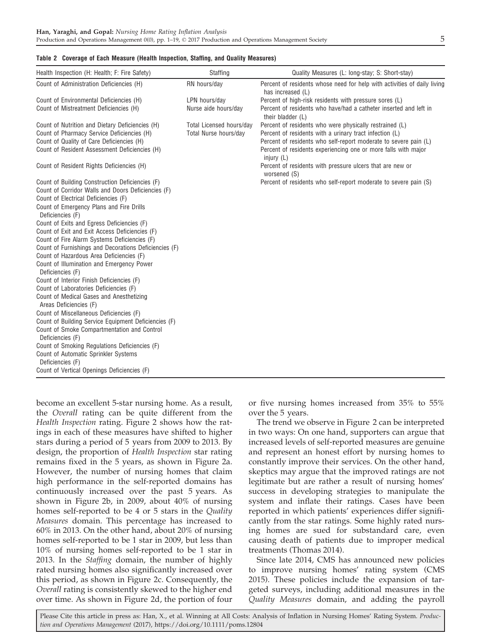| Health Inspection (H: Health; F: Fire Safety)                      | Staffing                 | Quality Measures (L: long-stay; S: Short-stay)                                                |
|--------------------------------------------------------------------|--------------------------|-----------------------------------------------------------------------------------------------|
| Count of Administration Deficiencies (H)                           | RN hours/day             | Percent of residents whose need for help with activities of daily living<br>has increased (L) |
| Count of Environmental Deficiencies (H)                            | LPN hours/day            | Percent of high-risk residents with pressure sores (L)                                        |
| Count of Mistreatment Deficiencies (H)                             | Nurse aide hours/day     | Percent of residents who have/had a catheter inserted and left in<br>their bladder (L)        |
| Count of Nutrition and Dietary Deficiencies (H)                    | Total Licensed hours/day | Percent of residents who were physically restrained (L)                                       |
| Count of Pharmacy Service Deficiencies (H)                         | Total Nurse hours/day    | Percent of residents with a urinary tract infection (L)                                       |
| Count of Quality of Care Deficiencies (H)                          |                          | Percent of residents who self-report moderate to severe pain (L)                              |
| Count of Resident Assessment Deficiencies (H)                      |                          | Percent of residents experiencing one or more falls with major<br>injury $(L)$                |
| Count of Resident Rights Deficiencies (H)                          |                          | Percent of residents with pressure ulcers that are new or<br>worsened (S)                     |
| Count of Building Construction Deficiencies (F)                    |                          | Percent of residents who self-report moderate to severe pain (S)                              |
| Count of Corridor Walls and Doors Deficiencies (F)                 |                          |                                                                                               |
| Count of Electrical Deficiencies (F)                               |                          |                                                                                               |
| Count of Emergency Plans and Fire Drills<br>Deficiencies (F)       |                          |                                                                                               |
| Count of Exits and Egress Deficiencies (F)                         |                          |                                                                                               |
| Count of Exit and Exit Access Deficiencies (F)                     |                          |                                                                                               |
| Count of Fire Alarm Systems Deficiencies (F)                       |                          |                                                                                               |
| Count of Furnishings and Decorations Deficiencies (F)              |                          |                                                                                               |
| Count of Hazardous Area Deficiencies (F)                           |                          |                                                                                               |
| Count of Illumination and Emergency Power<br>Deficiencies (F)      |                          |                                                                                               |
| Count of Interior Finish Deficiencies (F)                          |                          |                                                                                               |
| Count of Laboratories Deficiencies (F)                             |                          |                                                                                               |
| Count of Medical Gases and Anesthetizing<br>Areas Deficiencies (F) |                          |                                                                                               |
| Count of Miscellaneous Deficiencies (F)                            |                          |                                                                                               |
| Count of Building Service Equipment Deficiencies (F)               |                          |                                                                                               |
| Count of Smoke Compartmentation and Control<br>Deficiencies (F)    |                          |                                                                                               |
| Count of Smoking Regulations Deficiencies (F)                      |                          |                                                                                               |
| Count of Automatic Sprinkler Systems<br>Deficiencies (F)           |                          |                                                                                               |
| Count of Vertical Openings Deficiencies (F)                        |                          |                                                                                               |

#### Table 2 Coverage of Each Measure (Health Inspection, Staffing, and Quality Measures)

become an excellent 5-star nursing home. As a result, the Overall rating can be quite different from the Health Inspection rating. Figure 2 shows how the ratings in each of these measures have shifted to higher stars during a period of 5 years from 2009 to 2013. By design, the proportion of Health Inspection star rating remains fixed in the 5 years, as shown in Figure 2a. However, the number of nursing homes that claim high performance in the self-reported domains has continuously increased over the past 5 years. As shown in Figure 2b, in 2009, about 40% of nursing homes self-reported to be 4 or 5 stars in the Quality Measures domain. This percentage has increased to 60% in 2013. On the other hand, about 20% of nursing homes self-reported to be 1 star in 2009, but less than 10% of nursing homes self-reported to be 1 star in 2013. In the Staffing domain, the number of highly rated nursing homes also significantly increased over this period, as shown in Figure 2c. Consequently, the Overall rating is consistently skewed to the higher end over time. As shown in Figure 2d, the portion of four

or five nursing homes increased from 35% to 55% over the 5 years.

The trend we observe in Figure 2 can be interpreted in two ways: On one hand, supporters can argue that increased levels of self-reported measures are genuine and represent an honest effort by nursing homes to constantly improve their services. On the other hand, skeptics may argue that the improved ratings are not legitimate but are rather a result of nursing homes' success in developing strategies to manipulate the system and inflate their ratings. Cases have been reported in which patients' experiences differ significantly from the star ratings. Some highly rated nursing homes are sued for substandard care, even causing death of patients due to improper medical treatments (Thomas 2014).

Since late 2014, CMS has announced new policies to improve nursing homes' rating system (CMS 2015). These policies include the expansion of targeted surveys, including additional measures in the Quality Measures domain, and adding the payroll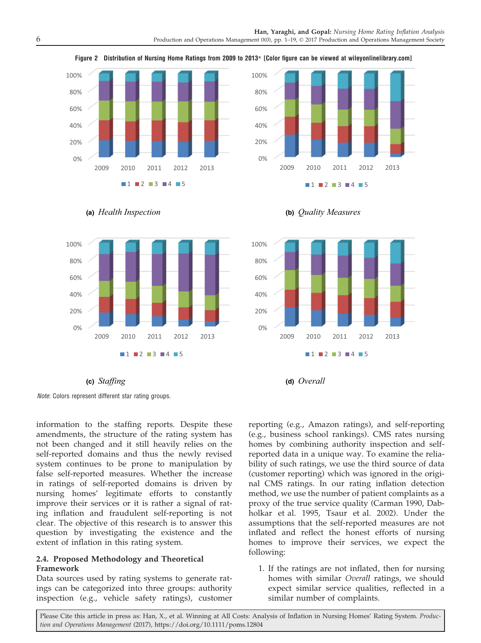

#### Figure 2 Distribution of Nursing Home Ratings from 2009 to 2013\* [Color figure can be viewed at wileyonlinelibrary.com]









**(c)** *Staffing* **(d)** *Overall*

Note: Colors represent different star rating groups.

information to the staffing reports. Despite these amendments, the structure of the rating system has not been changed and it still heavily relies on the self-reported domains and thus the newly revised system continues to be prone to manipulation by false self-reported measures. Whether the increase in ratings of self-reported domains is driven by nursing homes' legitimate efforts to constantly improve their services or it is rather a signal of rating inflation and fraudulent self-reporting is not clear. The objective of this research is to answer this question by investigating the existence and the extent of inflation in this rating system.

#### 2.4. Proposed Methodology and Theoretical Framework

Data sources used by rating systems to generate ratings can be categorized into three groups: authority inspection (e.g., vehicle safety ratings), customer

reporting (e.g., Amazon ratings), and self-reporting (e.g., business school rankings). CMS rates nursing homes by combining authority inspection and selfreported data in a unique way. To examine the reliability of such ratings, we use the third source of data (customer reporting) which was ignored in the original CMS ratings. In our rating inflation detection method, we use the number of patient complaints as a proxy of the true service quality (Carman 1990, Dabholkar et al. 1995, Tsaur et al. 2002). Under the assumptions that the self-reported measures are not inflated and reflect the honest efforts of nursing homes to improve their services, we expect the following:

1. If the ratings are not inflated, then for nursing homes with similar Overall ratings, we should expect similar service qualities, reflected in a similar number of complaints.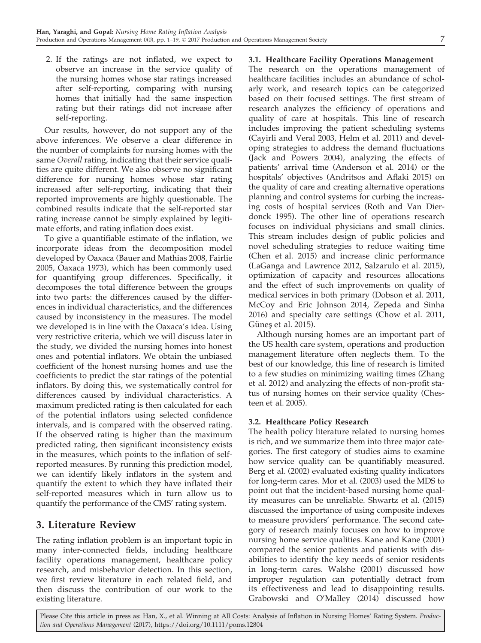2. If the ratings are not inflated, we expect to observe an increase in the service quality of the nursing homes whose star ratings increased after self-reporting, comparing with nursing homes that initially had the same inspection rating but their ratings did not increase after self-reporting.

Our results, however, do not support any of the above inferences. We observe a clear difference in the number of complaints for nursing homes with the same Overall rating, indicating that their service qualities are quite different. We also observe no significant difference for nursing homes whose star rating increased after self-reporting, indicating that their reported improvements are highly questionable. The combined results indicate that the self-reported star rating increase cannot be simply explained by legitimate efforts, and rating inflation does exist.

To give a quantifiable estimate of the inflation, we incorporate ideas from the decomposition model developed by Oaxaca (Bauer and Mathias 2008, Fairlie 2005, Oaxaca 1973), which has been commonly used for quantifying group differences. Specifically, it decomposes the total difference between the groups into two parts: the differences caused by the differences in individual characteristics, and the differences caused by inconsistency in the measures. The model we developed is in line with the Oaxaca's idea. Using very restrictive criteria, which we will discuss later in the study, we divided the nursing homes into honest ones and potential inflators. We obtain the unbiased coefficient of the honest nursing homes and use the coefficients to predict the star ratings of the potential inflators. By doing this, we systematically control for differences caused by individual characteristics. A maximum predicted rating is then calculated for each of the potential inflators using selected confidence intervals, and is compared with the observed rating. If the observed rating is higher than the maximum predicted rating, then significant inconsistency exists in the measures, which points to the inflation of selfreported measures. By running this prediction model, we can identify likely inflators in the system and quantify the extent to which they have inflated their self-reported measures which in turn allow us to quantify the performance of the CMS' rating system.

# 3. Literature Review

The rating inflation problem is an important topic in many inter-connected fields, including healthcare facility operations management, healthcare policy research, and misbehavior detection. In this section, we first review literature in each related field, and then discuss the contribution of our work to the existing literature.

#### 3.1. Healthcare Facility Operations Management

The research on the operations management of healthcare facilities includes an abundance of scholarly work, and research topics can be categorized based on their focused settings. The first stream of research analyzes the efficiency of operations and quality of care at hospitals. This line of research includes improving the patient scheduling systems (Cayirli and Veral 2003, Helm et al. 2011) and developing strategies to address the demand fluctuations (Jack and Powers 2004), analyzing the effects of patients' arrival time (Anderson et al. 2014) or the hospitals' objectives (Andritsos and Aflaki 2015) on the quality of care and creating alternative operations planning and control systems for curbing the increasing costs of hospital services (Roth and Van Dierdonck 1995). The other line of operations research focuses on individual physicians and small clinics. This stream includes design of public policies and novel scheduling strategies to reduce waiting time (Chen et al. 2015) and increase clinic performance (LaGanga and Lawrence 2012, Salzarulo et al. 2015), optimization of capacity and resources allocations and the effect of such improvements on quality of medical services in both primary (Dobson et al. 2011, McCoy and Eric Johnson 2014, Zepeda and Sinha 2016) and specialty care settings (Chow et al. 2011, Günes et al. 2015).

Although nursing homes are an important part of the US health care system, operations and production management literature often neglects them. To the best of our knowledge, this line of research is limited to a few studies on minimizing waiting times (Zhang et al. 2012) and analyzing the effects of non-profit status of nursing homes on their service quality (Chesteen et al. 2005).

#### 3.2. Healthcare Policy Research

The health policy literature related to nursing homes is rich, and we summarize them into three major categories. The first category of studies aims to examine how service quality can be quantifiably measured. Berg et al. (2002) evaluated existing quality indicators for long-term cares. Mor et al. (2003) used the MDS to point out that the incident-based nursing home quality measures can be unreliable. Shwartz et al. (2015) discussed the importance of using composite indexes to measure providers' performance. The second category of research mainly focuses on how to improve nursing home service qualities. Kane and Kane (2001) compared the senior patients and patients with disabilities to identify the key needs of senior residents in long-term cares. Walshe (2001) discussed how improper regulation can potentially detract from its effectiveness and lead to disappointing results. Grabowski and O'Malley (2014) discussed how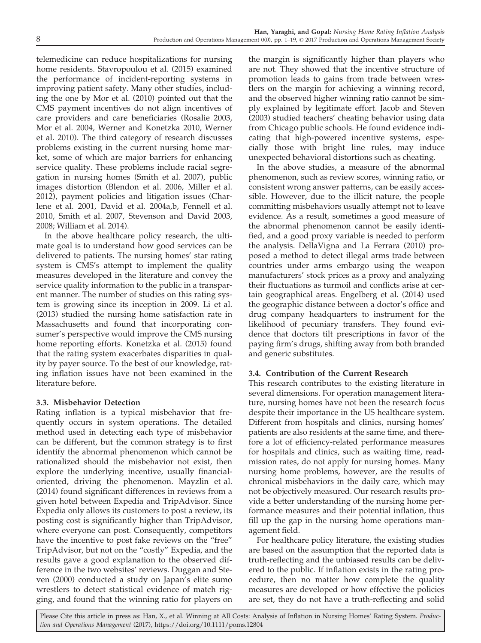telemedicine can reduce hospitalizations for nursing home residents. Stavropoulou et al. (2015) examined the performance of incident-reporting systems in improving patient safety. Many other studies, including the one by Mor et al. (2010) pointed out that the CMS payment incentives do not align incentives of care providers and care beneficiaries (Rosalie 2003, Mor et al. 2004, Werner and Konetzka 2010, Werner et al. 2010). The third category of research discusses problems existing in the current nursing home market, some of which are major barriers for enhancing service quality. These problems include racial segregation in nursing homes (Smith et al. 2007), public images distortion (Blendon et al. 2006, Miller et al. 2012), payment policies and litigation issues (Charlene et al. 2001, David et al. 2004a,b, Fennell et al. 2010, Smith et al. 2007, Stevenson and David 2003, 2008; William et al. 2014).

In the above healthcare policy research, the ultimate goal is to understand how good services can be delivered to patients. The nursing homes' star rating system is CMS's attempt to implement the quality measures developed in the literature and convey the service quality information to the public in a transparent manner. The number of studies on this rating system is growing since its inception in 2009. Li et al. (2013) studied the nursing home satisfaction rate in Massachusetts and found that incorporating consumer's perspective would improve the CMS nursing home reporting efforts. Konetzka et al. (2015) found that the rating system exacerbates disparities in quality by payer source. To the best of our knowledge, rating inflation issues have not been examined in the literature before.

#### 3.3. Misbehavior Detection

Rating inflation is a typical misbehavior that frequently occurs in system operations. The detailed method used in detecting each type of misbehavior can be different, but the common strategy is to first identify the abnormal phenomenon which cannot be rationalized should the misbehavior not exist, then explore the underlying incentive, usually financialoriented, driving the phenomenon. Mayzlin et al. (2014) found significant differences in reviews from a given hotel between Expedia and TripAdvisor. Since Expedia only allows its customers to post a review, its posting cost is significantly higher than TripAdvisor, where everyone can post. Consequently, competitors have the incentive to post fake reviews on the "free" TripAdvisor, but not on the "costly" Expedia, and the results gave a good explanation to the observed difference in the two websites' reviews. Duggan and Steven (2000) conducted a study on Japan's elite sumo wrestlers to detect statistical evidence of match rigging, and found that the winning ratio for players on

the margin is significantly higher than players who are not. They showed that the incentive structure of promotion leads to gains from trade between wrestlers on the margin for achieving a winning record, and the observed higher winning ratio cannot be simply explained by legitimate effort. Jacob and Steven (2003) studied teachers' cheating behavior using data from Chicago public schools. He found evidence indicating that high-powered incentive systems, especially those with bright line rules, may induce unexpected behavioral distortions such as cheating.

In the above studies, a measure of the abnormal phenomenon, such as review scores, winning ratio, or consistent wrong answer patterns, can be easily accessible. However, due to the illicit nature, the people committing misbehaviors usually attempt not to leave evidence. As a result, sometimes a good measure of the abnormal phenomenon cannot be easily identified, and a good proxy variable is needed to perform the analysis. DellaVigna and La Ferrara (2010) proposed a method to detect illegal arms trade between countries under arms embargo using the weapon manufacturers' stock prices as a proxy and analyzing their fluctuations as turmoil and conflicts arise at certain geographical areas. Engelberg et al. (2014) used the geographic distance between a doctor's office and drug company headquarters to instrument for the likelihood of pecuniary transfers. They found evidence that doctors tilt prescriptions in favor of the paying firm's drugs, shifting away from both branded and generic substitutes.

#### 3.4. Contribution of the Current Research

This research contributes to the existing literature in several dimensions. For operation management literature, nursing homes have not been the research focus despite their importance in the US healthcare system. Different from hospitals and clinics, nursing homes' patients are also residents at the same time, and therefore a lot of efficiency-related performance measures for hospitals and clinics, such as waiting time, readmission rates, do not apply for nursing homes. Many nursing home problems, however, are the results of chronical misbehaviors in the daily care, which may not be objectively measured. Our research results provide a better understanding of the nursing home performance measures and their potential inflation, thus fill up the gap in the nursing home operations management field.

For healthcare policy literature, the existing studies are based on the assumption that the reported data is truth-reflecting and the unbiased results can be delivered to the public. If inflation exists in the rating procedure, then no matter how complete the quality measures are developed or how effective the policies are set, they do not have a truth-reflecting and solid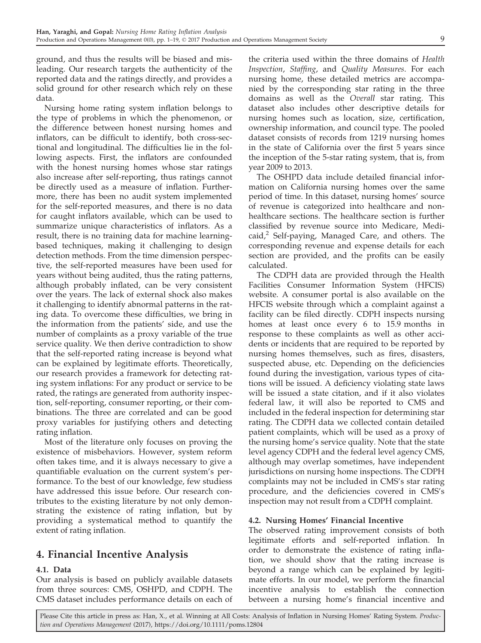ground, and thus the results will be biased and misleading. Our research targets the authenticity of the reported data and the ratings directly, and provides a solid ground for other research which rely on these data.

Nursing home rating system inflation belongs to the type of problems in which the phenomenon, or the difference between honest nursing homes and inflators, can be difficult to identify, both cross-sectional and longitudinal. The difficulties lie in the following aspects. First, the inflators are confounded with the honest nursing homes whose star ratings also increase after self-reporting, thus ratings cannot be directly used as a measure of inflation. Furthermore, there has been no audit system implemented for the self-reported measures, and there is no data for caught inflators available, which can be used to summarize unique characteristics of inflators. As a result, there is no training data for machine learningbased techniques, making it challenging to design detection methods. From the time dimension perspective, the self-reported measures have been used for years without being audited, thus the rating patterns, although probably inflated, can be very consistent over the years. The lack of external shock also makes it challenging to identify abnormal patterns in the rating data. To overcome these difficulties, we bring in the information from the patients' side, and use the number of complaints as a proxy variable of the true service quality. We then derive contradiction to show that the self-reported rating increase is beyond what can be explained by legitimate efforts. Theoretically, our research provides a framework for detecting rating system inflations: For any product or service to be rated, the ratings are generated from authority inspection, self-reporting, consumer reporting, or their combinations. The three are correlated and can be good proxy variables for justifying others and detecting rating inflation.

Most of the literature only focuses on proving the existence of misbehaviors. However, system reform often takes time, and it is always necessary to give a quantifiable evaluation on the current system's performance. To the best of our knowledge, few studiess have addressed this issue before. Our research contributes to the existing literature by not only demonstrating the existence of rating inflation, but by providing a systematical method to quantify the extent of rating inflation.

# 4. Financial Incentive Analysis

#### 4.1. Data

Our analysis is based on publicly available datasets from three sources: CMS, OSHPD, and CDPH. The CMS dataset includes performance details on each of the criteria used within the three domains of Health Inspection, Staffing, and Quality Measures. For each nursing home, these detailed metrics are accompanied by the corresponding star rating in the three domains as well as the Overall star rating. This dataset also includes other descriptive details for nursing homes such as location, size, certification, ownership information, and council type. The pooled dataset consists of records from 1219 nursing homes in the state of California over the first 5 years since the inception of the 5-star rating system, that is, from year 2009 to 2013.

The OSHPD data include detailed financial information on California nursing homes over the same period of time. In this dataset, nursing homes' source of revenue is categorized into healthcare and nonhealthcare sections. The healthcare section is further classified by revenue source into Medicare, Medi- $\text{caid}^2$  Self-paying, Managed Care, and others. The corresponding revenue and expense details for each section are provided, and the profits can be easily calculated.

The CDPH data are provided through the Health Facilities Consumer Information System (HFCIS) website. A consumer portal is also available on the HFCIS website through which a complaint against a facility can be filed directly. CDPH inspects nursing homes at least once every 6 to 15.9 months in response to these complaints as well as other accidents or incidents that are required to be reported by nursing homes themselves, such as fires, disasters, suspected abuse, etc. Depending on the deficiencies found during the investigation, various types of citations will be issued. A deficiency violating state laws will be issued a state citation, and if it also violates federal law, it will also be reported to CMS and included in the federal inspection for determining star rating. The CDPH data we collected contain detailed patient complaints, which will be used as a proxy of the nursing home's service quality. Note that the state level agency CDPH and the federal level agency CMS, although may overlap sometimes, have independent jurisdictions on nursing home inspections. The CDPH complaints may not be included in CMS's star rating procedure, and the deficiencies covered in CMS's inspection may not result from a CDPH complaint.

#### 4.2. Nursing Homes' Financial Incentive

The observed rating improvement consists of both legitimate efforts and self-reported inflation. In order to demonstrate the existence of rating inflation, we should show that the rating increase is beyond a range which can be explained by legitimate efforts. In our model, we perform the financial incentive analysis to establish the connection between a nursing home's financial incentive and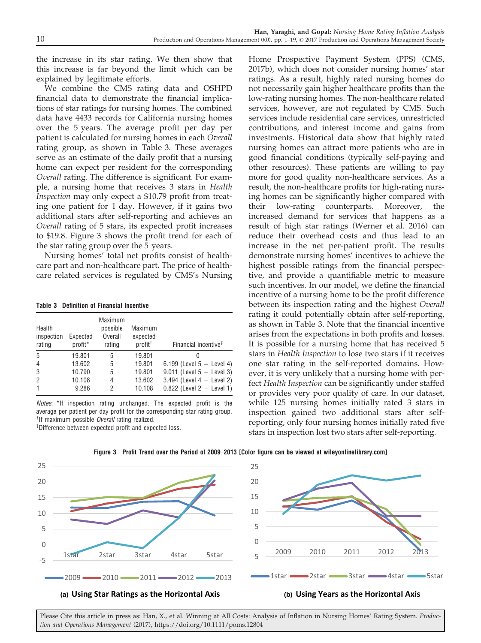the increase in its star rating. We then show that this increase is far beyond the limit which can be explained by legitimate efforts.

We combine the CMS rating data and OSHPD financial data to demonstrate the financial implications of star ratings for nursing homes. The combined data have 4433 records for California nursing homes over the 5 years. The average profit per day per patient is calculated for nursing homes in each Overall rating group, as shown in Table 3. These averages serve as an estimate of the daily profit that a nursing home can expect per resident for the corresponding Overall rating. The difference is significant. For example, a nursing home that receives 3 stars in Health Inspection may only expect a \$10.79 profit from treating one patient for 1 day. However, if it gains two additional stars after self-reporting and achieves an Overall rating of 5 stars, its expected profit increases to \$19.8. Figure 3 shows the profit trend for each of the star rating group over the 5 years.

Nursing homes' total net profits consist of healthcare part and non-healthcare part. The price of healthcare related services is regulated by CMS's Nursing

Table 3 Definition of Financial Incentive

| Health<br>inspection<br>rating | Expected<br>profit* | Maximum<br>possible<br>Overall<br>rating | Maximum<br>expected<br>profit <sup>†</sup> | Financial incentive <sup>‡</sup> |
|--------------------------------|---------------------|------------------------------------------|--------------------------------------------|----------------------------------|
| -5                             | 19.801              | 5                                        | 19.801                                     |                                  |
| 4                              | 13.602              | 5                                        | 19.801                                     | 6.199 (Level $5 -$ Level 4)      |
| -3                             | 10.790              | 5                                        | 19.801                                     | $9.011$ (Level $5 -$ Level 3)    |
| $\overline{2}$                 | 10.108              | 4                                        | 13.602                                     | 3.494 (Level $4 -$ Level 2)      |
|                                | 9.286               | 2                                        | 10.108                                     | $0.822$ (Level 2 - Level 1)      |

Notes: \*If inspection rating unchanged. The expected profit is the average per patient per day profit for the corresponding star rating group. <sup>†</sup>If maximum possible Overall rating realized.

‡ Difference between expected profit and expected loss.

Home Prospective Payment System (PPS) (CMS, 2017b), which does not consider nursing homes' star ratings. As a result, highly rated nursing homes do not necessarily gain higher healthcare profits than the low-rating nursing homes. The non-healthcare related services, however, are not regulated by CMS. Such services include residential care services, unrestricted contributions, and interest income and gains from investments. Historical data show that highly rated nursing homes can attract more patients who are in good financial conditions (typically self-paying and other resources). These patients are willing to pay more for good quality non-healthcare services. As a result, the non-healthcare profits for high-rating nursing homes can be significantly higher compared with their low-rating counterparts. Moreover, the increased demand for services that happens as a result of high star ratings (Werner et al. 2016) can reduce their overhead costs and thus lead to an increase in the net per-patient profit. The results demonstrate nursing homes' incentives to achieve the highest possible ratings from the financial perspective, and provide a quantifiable metric to measure such incentives. In our model, we define the financial incentive of a nursing home to be the profit difference between its inspection rating and the highest Overall rating it could potentially obtain after self-reporting, as shown in Table 3. Note that the financial incentive arises from the expectations in both profits and losses. It is possible for a nursing home that has received 5 stars in Health Inspection to lose two stars if it receives one star rating in the self-reported domains. However, it is very unlikely that a nursing home with perfect Health Inspection can be significantly under staffed or provides very poor quality of care. In our dataset, while 125 nursing homes initially rated 3 stars in inspection gained two additional stars after selfreporting, only four nursing homes initially rated five stars in inspection lost two stars after self-reporting.



Figure 3 Profit Trend over the Period of 2009–2013 [Color figure can be viewed at wileyonlinelibrary.com]

**(a) Using Star Ratings as the Horizontal Axis (b) Using Years as the Horizontal Axis**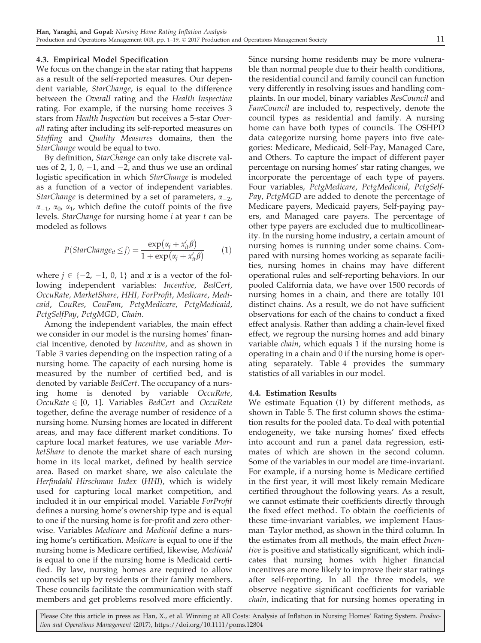#### 4.3. Empirical Model Specification

We focus on the change in the star rating that happens as a result of the self-reported measures. Our dependent variable, StarChange, is equal to the difference between the Overall rating and the Health Inspection rating. For example, if the nursing home receives 3 stars from Health Inspection but receives a 5-star Overall rating after including its self-reported measures on Staffing and Quality Measures domains, then the StarChange would be equal to two.

By definition, StarChange can only take discrete values of 2, 1, 0,  $-1$ , and  $-2$ , and thus we use an ordinal logistic specification in which StarChange is modeled as a function of a vector of independent variables. StarChange is determined by a set of parameters,  $\alpha_{-2}$ ,  $\alpha_{-1}$ ,  $\alpha_0$ ,  $\alpha_1$ , which define the cutoff points of the five levels. StarChange for nursing home *i* at year *t* can be modeled as follows

$$
P(StarChange_{it} \le j) = \frac{\exp(\alpha_j + x'_{it}\beta)}{1 + \exp(\alpha_j + x'_{it}\beta)}
$$
(1)

where  $j \in \{-2, -1, 0, 1\}$  and x is a vector of the following independent variables: *Incentive*, *BedCert*, OccuRate, MarketShare, HHI, ForProfit, Medicare, Medicaid, CouRes, CouFam, PctgMedicare, PctgMedicaid, PctgSelfPay, PctgMGD, Chain.

Among the independent variables, the main effect we consider in our model is the nursing homes' financial incentive, denoted by Incentive, and as shown in Table 3 varies depending on the inspection rating of a nursing home. The capacity of each nursing home is measured by the number of certified bed, and is denoted by variable BedCert. The occupancy of a nursing home is denoted by variable OccuRate, OccuRate  $\in$  [0, 1]. Variables BedCert and OccuRate together, define the average number of residence of a nursing home. Nursing homes are located in different areas, and may face different market conditions. To capture local market features, we use variable MarketShare to denote the market share of each nursing home in its local market, defined by health service area. Based on market share, we also calculate the Herfindahl–Hirschman Index (HHI), which is widely used for capturing local market competition, and included it in our empirical model. Variable ForProfit defines a nursing home's ownership type and is equal to one if the nursing home is for-profit and zero otherwise. Variables Medicare and Medicaid define a nursing home's certification. Medicare is equal to one if the nursing home is Medicare certified, likewise, Medicaid is equal to one if the nursing home is Medicaid certified. By law, nursing homes are required to allow councils set up by residents or their family members. These councils facilitate the communication with staff members and get problems resolved more efficiently.

Since nursing home residents may be more vulnerable than normal people due to their health conditions, the residential council and family council can function very differently in resolving issues and handling complaints. In our model, binary variables ResCouncil and FamCouncil are included to, respectively, denote the council types as residential and family. A nursing home can have both types of councils. The OSHPD data categorize nursing home payers into five categories: Medicare, Medicaid, Self-Pay, Managed Care, and Others. To capture the impact of different payer percentage on nursing homes' star rating changes, we incorporate the percentage of each type of payers. Four variables, PctgMedicare, PctgMedicaid, PctgSelf-Pay, PctgMGD are added to denote the percentage of Medicare payers, Medicaid payers, Self-paying payers, and Managed care payers. The percentage of other type payers are excluded due to multicollinearity. In the nursing home industry, a certain amount of nursing homes is running under some chains. Compared with nursing homes working as separate facilities, nursing homes in chains may have different operational rules and self-reporting behaviors. In our pooled California data, we have over 1500 records of nursing homes in a chain, and there are totally 101 distinct chains. As a result, we do not have sufficient observations for each of the chains to conduct a fixed effect analysis. Rather than adding a chain-level fixed effect, we regroup the nursing homes and add binary variable chain, which equals 1 if the nursing home is operating in a chain and 0 if the nursing home is operating separately. Table 4 provides the summary statistics of all variables in our model.

#### 4.4. Estimation Results

We estimate Equation (1) by different methods, as shown in Table 5. The first column shows the estimation results for the pooled data. To deal with potential endogeneity, we take nursing homes' fixed effects into account and run a panel data regression, estimates of which are shown in the second column. Some of the variables in our model are time-invariant. For example, if a nursing home is Medicare certified in the first year, it will most likely remain Medicare certified throughout the following years. As a result, we cannot estimate their coefficients directly through the fixed effect method. To obtain the coefficients of these time-invariant variables, we implement Hausman–Taylor method, as shown in the third column. In the estimates from all methods, the main effect Incentive is positive and statistically significant, which indicates that nursing homes with higher financial incentives are more likely to improve their star ratings after self-reporting. In all the three models, we observe negative significant coefficients for variable chain, indicating that for nursing homes operating in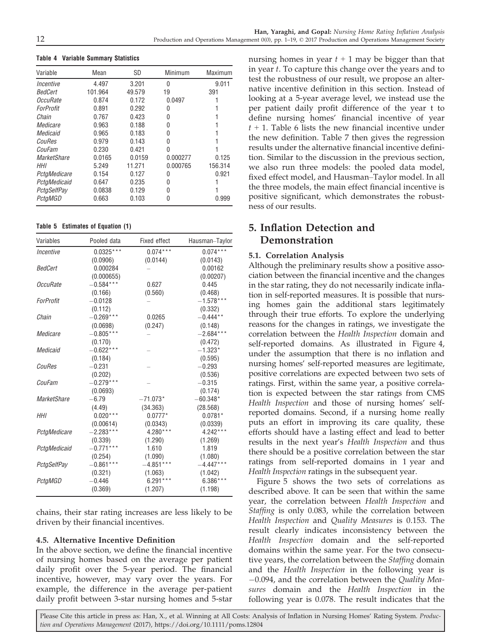Table 4 Variable Summary Statistics

| Variable        | Mean    | SD     | Minimum  | Maximum |
|-----------------|---------|--------|----------|---------|
| Incentive       | 4.497   | 3.201  | U        | 9.011   |
| BedCert         | 101.964 | 49.579 | 19       | 391     |
| <i>OccuRate</i> | 0.874   | 0.172  | 0.0497   |         |
| ForProfit       | 0.891   | 0.292  | 0        |         |
| Chain           | 0.767   | 0.423  | 0        |         |
| Medicare        | 0.963   | 0.188  | 0        |         |
| Medicaid        | 0.965   | 0.183  | 0        |         |
| CouRes          | 0.979   | 0.143  | U        |         |
| CouFam          | 0.230   | 0.421  | U        |         |
| MarketShare     | 0.0165  | 0.0159 | 0.000277 | 0.125   |
| HHI             | 5.249   | 11.271 | 0.000765 | 156.314 |
| PctgMedicare    | 0.154   | 0.127  | 0        | 0.921   |
| PctgMedicaid    | 0.647   | 0.235  | 0        |         |
| PctgSelfPay     | 0.0838  | 0.129  | n        |         |
| PctgMGD         | 0.663   | 0.103  | 0        | 0.999   |

Table 5 Estimates of Equation (1)

| Variables          | Pooled data | Fixed effect | Hausman-Taylor |
|--------------------|-------------|--------------|----------------|
| Incentive          | $0.0325***$ | $0.074***$   | $0.074***$     |
|                    | (0.0906)    | (0.0144)     | (0.0143)       |
| <b>BedCert</b>     | 0.000284    |              | 0.00162        |
|                    | (0.000655)  |              | (0.00207)      |
| <b>OccuRate</b>    | $-0.584***$ | 0.627        | 0.445          |
|                    | (0.166)     | (0.560)      | (0.468)        |
| ForProfit          | $-0.0128$   |              | $-1.578***$    |
|                    | (0.112)     |              | (0.332)        |
| Chain              | $-0.269***$ | 0.0265       | $-0.444**$     |
|                    | (0.0698)    | (0.247)      | (0.148)        |
| Medicare           | $-0.805***$ |              | $-2.684***$    |
|                    | (0.170)     |              | (0.472)        |
| <b>Medicaid</b>    | $-0.622***$ |              | $-1.323*$      |
|                    | (0.184)     |              | (0.595)        |
| CouRes             | $-0.231$    |              | $-0.293$       |
|                    | (0.202)     |              | (0.536)        |
| CouFam             | $-0.279***$ |              | $-0.315$       |
|                    | (0.0693)    |              | (0.174)        |
| <b>MarketShare</b> | $-6.79$     | $-71.073*$   | $-60.348*$     |
|                    | (4.49)      | (34.363)     | (28.568)       |
| HHI                | $0.020***$  | $0.0777*$    | $0.0781*$      |
|                    | (0.00614)   | (0.0343)     | (0.0339)       |
| PctgMedicare       | $-2.283***$ | $4.280***$   | $4.242***$     |
|                    | (0.339)     | (1.290)      | (1.269)        |
| PctgMedicaid       | $-0.771***$ | 1.610        | 1.819          |
|                    | (0.254)     | (1.090)      | (1.080)        |
| PctgSelfPay        | $-0.861***$ | $-4.851***$  | $-4.447***$    |
|                    | (0.321)     | (1.063)      | (1.042)        |
| PctgMGD            | $-0.446$    | $6.291***$   | $6.386***$     |
|                    | (0.369)     | (1.207)      | (1.198)        |

chains, their star rating increases are less likely to be driven by their financial incentives.

#### 4.5. Alternative Incentive Definition

In the above section, we define the financial incentive of nursing homes based on the average per patient daily profit over the 5-year period. The financial incentive, however, may vary over the years. For example, the difference in the average per-patient daily profit between 3-star nursing homes and 5-star

nursing homes in year  $t + 1$  may be bigger than that in year *t*. To capture this change over the years and to test the robustness of our result, we propose an alternative incentive definition in this section. Instead of looking at a 5-year average level, we instead use the per patient daily profit difference of the year t to define nursing homes' financial incentive of year  $t + 1$ . Table 6 lists the new financial incentive under the new definition. Table 7 then gives the regression results under the alternative financial incentive definition. Similar to the discussion in the previous section, we also run three models: the pooled data model, fixed effect model, and Hausman–Taylor model. In all the three models, the main effect financial incentive is positive significant, which demonstrates the robustness of our results.

# 5. Inflation Detection and Demonstration

#### 5.1. Correlation Analysis

Although the preliminary results show a positive association between the financial incentive and the changes in the star rating, they do not necessarily indicate inflation in self-reported measures. It is possible that nursing homes gain the additional stars legitimately through their true efforts. To explore the underlying reasons for the changes in ratings, we investigate the correlation between the Health Inspection domain and self-reported domains. As illustrated in Figure 4, under the assumption that there is no inflation and nursing homes' self-reported measures are legitimate, positive correlations are expected between two sets of ratings. First, within the same year, a positive correlation is expected between the star ratings from CMS Health Inspection and those of nursing homes' selfreported domains. Second, if a nursing home really puts an effort in improving its care quality, these efforts should have a lasting effect and lead to better results in the next year's Health Inspection and thus there should be a positive correlation between the star ratings from self-reported domains in 1 year and Health Inspection ratings in the subsequent year.

Figure 5 shows the two sets of correlations as described above. It can be seen that within the same year, the correlation between Health Inspection and Staffing is only 0.083, while the correlation between Health Inspection and Quality Measures is 0.153. The result clearly indicates inconsistency between the Health Inspection domain and the self-reported domains within the same year. For the two consecutive years, the correlation between the Staffing domain and the Health Inspection in the following year is  $-0.094$ , and the correlation between the Quality Measures domain and the Health Inspection in the following year is 0.078. The result indicates that the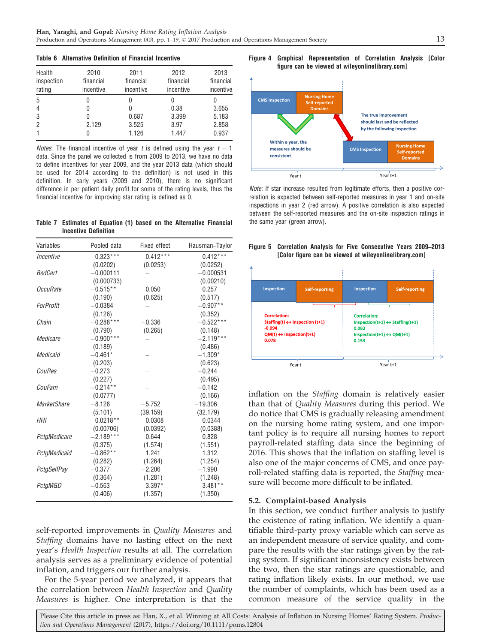Table 6 Alternative Definition of Financial Incentive

| Health<br>inspection<br>rating | 2010<br>financial<br>incentive | 2011<br>financial<br>incentive | 2012<br>financial<br>incentive | 2013<br>financial<br>incentive |
|--------------------------------|--------------------------------|--------------------------------|--------------------------------|--------------------------------|
| 5                              |                                |                                |                                |                                |
| $\overline{4}$                 |                                | 0                              | 0.38                           | 3.655                          |
| 3                              |                                | 0.687                          | 3.399                          | 5.183                          |
| 2                              | 2.129                          | 3.525                          | 3.97                           | 2.858                          |
|                                |                                | 1.126                          | 1.447                          | 0.937                          |
|                                |                                |                                |                                |                                |

*Notes*: The financial incentive of year t is defined using the year  $t - 1$ data. Since the panel we collected is from 2009 to 2013, we have no data to define incentives for year 2009, and the year 2013 data (which should be used for 2014 according to the definition) is not used in this definition. In early years (2009 and 2010), there is no significant difference in per patient daily profit for some of the rating levels, thus the financial incentive for improving star rating is defined as 0.

Table 7 Estimates of Equation (1) based on the Alternative Financial Incentive Definition

| Variables          | Pooled data | Fixed effect | Hausman-Taylor |
|--------------------|-------------|--------------|----------------|
| Incentive          | $0.323***$  | $0.412***$   | $0.412***$     |
|                    | (0.0202)    | (0.0253)     | (0.0252)       |
| <b>BedCert</b>     | $-0.000111$ |              | $-0.000531$    |
|                    | (0.000733)  |              | (0.00210)      |
| OccuRate           | $-0.515**$  | 0.050        | 0.257          |
|                    | (0.190)     | (0.625)      | (0.517)        |
| ForProfit          | $-0.0384$   |              | $-0.907**$     |
|                    | (0.126)     |              | (0.352)        |
| Chain              | $-0.288***$ | $-0.336$     | $-0.522***$    |
|                    | (0.790)     | (0.265)      | (0.148)        |
| Medicare           | $-0.900***$ |              | $-2.119***$    |
|                    | (0.189)     |              | (0.486)        |
| Medicaid           | $-0.461*$   |              | $-1.309*$      |
|                    | (0.203)     |              | (0.623)        |
| CouRes             | $-0.273$    |              | $-0.244$       |
|                    | (0.227)     |              | (0.495)        |
| CouFam             | $-0.214**$  |              | $-0.142$       |
|                    | (0.0777)    |              | (0.166)        |
| <b>MarketShare</b> | $-8.128$    | $-5.752$     | $-19.306$      |
|                    | (5.101)     | (39.159)     | (32.179)       |
| <b>HHI</b>         | $0.0218**$  | 0.0308       | 0.0344         |
|                    | (0.00706)   | (0.0392)     | (0.0388)       |
| PctgMedicare       | $-2.189***$ | 0.644        | 0.828          |
|                    | (0.375)     | (1.574)      | (1.551)        |
| PctgMedicaid       | $-0.862**$  | 1.241        | 1.312          |
|                    | (0.282)     | (1.264)      | (1.254)        |
| PctgSelfPay        | $-0.377$    | $-2.206$     | $-1.990$       |
|                    | (0.364)     | (1.281)      | (1.248)        |
| PctgMGD            | $-0.563$    | $3.397*$     | $3.481**$      |
|                    | (0.406)     | (1.357)      | (1.350)        |

self-reported improvements in Quality Measures and Staffing domains have no lasting effect on the next year's Health Inspection results at all. The correlation analysis serves as a preliminary evidence of potential inflation, and triggers our further analysis.

For the 5-year period we analyzed, it appears that the correlation between Health Inspection and Quality Measures is higher. One interpretation is that the





Note: If star increase resulted from legitimate efforts, then a positive correlation is expected between self-reported measures in year 1 and on-site inspections in year 2 (red arrow). A positive correlation is also expected between the self-reported measures and the on-site inspection ratings in the same year (green arrow).



Figure 5 Correlation Analysis for Five Consecutive Years 2009–2013 [Color figure can be viewed at wileyonlinelibrary.com]

inflation on the Staffing domain is relatively easier than that of Quality Measures during this period. We do notice that CMS is gradually releasing amendment on the nursing home rating system, and one important policy is to require all nursing homes to report payroll-related staffing data since the beginning of 2016. This shows that the inflation on staffing level is also one of the major concerns of CMS, and once payroll-related staffing data is reported, the Staffing measure will become more difficult to be inflated.

#### 5.2. Complaint-based Analysis

In this section, we conduct further analysis to justify the existence of rating inflation. We identify a quantifiable third-party proxy variable which can serve as an independent measure of service quality, and compare the results with the star ratings given by the rating system. If significant inconsistency exists between the two, then the star ratings are questionable, and rating inflation likely exists. In our method, we use the number of complaints, which has been used as a common measure of the service quality in the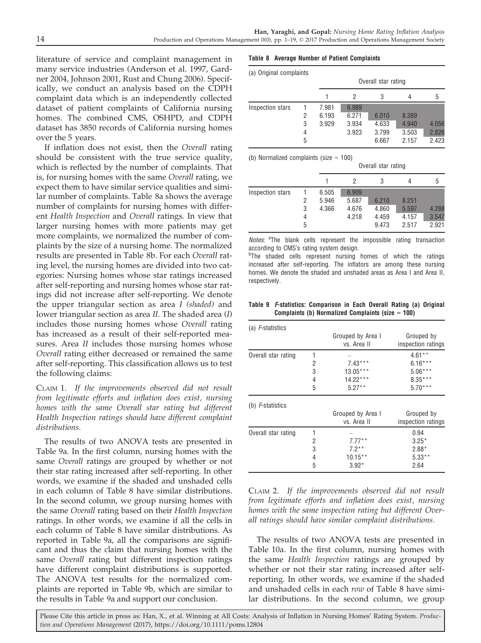literature of service and complaint management in many service industries (Anderson et al. 1997, Gardner 2004, Johnson 2001, Rust and Chung 2006). Specifically, we conduct an analysis based on the CDPH complaint data which is an independently collected dataset of patient complaints of California nursing homes. The combined CMS, OSHPD, and CDPH dataset has 3850 records of California nursing homes over the 5 years.

If inflation does not exist, then the Overall rating should be consistent with the true service quality, which is reflected by the number of complaints. That is, for nursing homes with the same Overall rating, we expect them to have similar service qualities and similar number of complaints. Table 8a shows the average number of complaints for nursing homes with different Health Inspection and Overall ratings. In view that larger nursing homes with more patients may get more complaints, we normalized the number of complaints by the size of a nursing home. The normalized results are presented in Table 8b. For each Overall rating level, the nursing homes are divided into two categories: Nursing homes whose star ratings increased after self-reporting and nursing homes whose star ratings did not increase after self-reporting. We denote the upper triangular section as area I (shaded) and lower triangular section as area II. The shaded area (I) includes those nursing homes whose Overall rating has increased as a result of their self-reported measures. Area *II* includes those nursing homes whose Overall rating either decreased or remained the same after self-reporting. This classification allows us to test the following claims:

CLAIM 1. If the improvements observed did not result from legitimate efforts and inflation does exist, nursing homes with the same Overall star rating but different Health Inspection ratings should have different complaint distributions.

The results of two ANOVA tests are presented in Table 9a. In the first column, nursing homes with the same Overall ratings are grouped by whether or not their star rating increased after self-reporting. In other words, we examine if the shaded and unshaded cells in each column of Table 8 have similar distributions. In the second column, we group nursing homes with the same Overall rating based on their Health Inspection ratings. In other words, we examine if all the cells in each column of Table 8 have similar distributions. As reported in Table 9a, all the comparisons are significant and thus the claim that nursing homes with the same Overall rating but different inspection ratings have different complaint distributions is supported. The ANOVA test results for the normalized complaints are reported in Table 9b, which are similar to the results in Table 9a and support our conclusion.

#### Table 8 Average Number of Patient Complaints

| (a) Original complaints |                  |                         |                                  | Overall star rating              |                                  |                         |
|-------------------------|------------------|-------------------------|----------------------------------|----------------------------------|----------------------------------|-------------------------|
|                         |                  |                         |                                  |                                  |                                  | 5                       |
| Inspection stars        | 2<br>3<br>4<br>5 | 7.981<br>6.193<br>3.929 | 6.989<br>6.271<br>3.934<br>3.923 | 6.010<br>4.633<br>3.799<br>6.667 | 8.389<br>4.940<br>3.503<br>2.157 | 4.056<br>2.826<br>2.423 |

(b) Normalized complaints (size  $= 100$ )

| ,,,, |                     |  |
|------|---------------------|--|
|      | Overall star rating |  |

|                  |   |       |       | OVUIMI UMI TUMIN |       |       |
|------------------|---|-------|-------|------------------|-------|-------|
|                  |   |       |       |                  |       | b     |
| Inspection stars |   | 6.505 | 6.909 |                  |       |       |
|                  | 2 | 5.946 | 5.687 | 6.210            | 8.251 |       |
|                  | 3 | 4.366 | 4.676 | 4.860            | 5.597 | 4.288 |
|                  | 4 |       | 4.218 | 4.459            | 4.157 | 3.547 |
|                  | 5 |       |       | 9.473            | 2.517 | 2.921 |

Notes: <sup>a</sup>The blank cells represent the impossible rating transaction according to CMS's rating system design.

<sup>b</sup>The shaded cells represent nursing homes of which the ratings increased after self-reporting. The inflators are among these nursing homes. We denote the shaded and unshaded areas as Area I and Area II, respectively.

Table 9 F-statistics: Comparison in Each Overall Rating (a) Original Complaints (b) Normalized Complaints (size  $= 100$ )

| Grouped by Area I<br>Grouped by<br>vs. Area II<br>inspection ratings |  |
|----------------------------------------------------------------------|--|
| $4.61***$<br>Overall star rating<br>1                                |  |
| $7.43***$<br>$6.16***$<br>2                                          |  |
| 3<br>$13.05***$<br>$5.06***$                                         |  |
| $8.35***$<br>$14.22***$<br>4                                         |  |
| 5<br>$5.27**$<br>$5.70***$                                           |  |
|                                                                      |  |
| (b) $F$ -statistics                                                  |  |
| Grouped by Area I<br>Grouped by                                      |  |
| vs. Area II<br>inspection ratings                                    |  |
| 0.94<br>Overall star rating                                          |  |
| $7.77**$<br>$3.25*$<br>2                                             |  |
| 3<br>$7.2**$<br>$2.88*$                                              |  |
| $10.15**$<br>$5.33***$<br>4                                          |  |

CLAIM 2. If the improvements observed did not result from legitimate efforts and inflation does exist, nursing homes with the same inspection rating but different Overall ratings should have similar complaint distributions.

The results of two ANOVA tests are presented in Table 10a. In the first column, nursing homes with the same Health Inspection ratings are grouped by whether or not their star rating increased after selfreporting. In other words, we examine if the shaded and unshaded cells in each row of Table 8 have similar distributions. In the second column, we group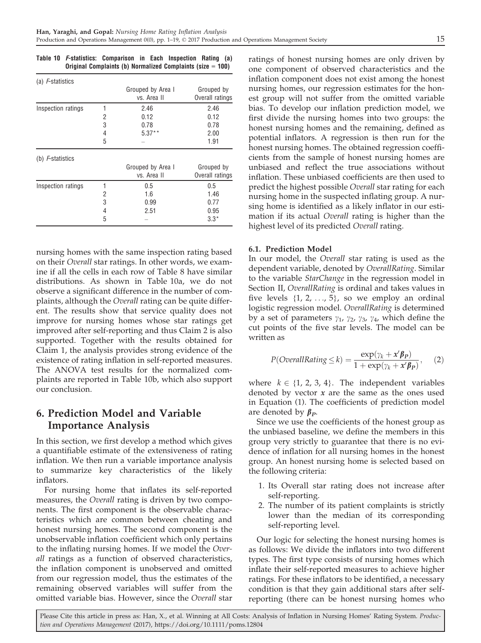| (a) $F$ -statistics |   |                                  |                               |
|---------------------|---|----------------------------------|-------------------------------|
|                     |   | Grouped by Area I<br>vs. Area II | Grouped by<br>Overall ratings |
| Inspection ratings  | 1 | 2.46                             | 2.46                          |
|                     | 2 | 0.12                             | 0.12                          |
|                     | 3 | 0.78                             | 0.78                          |
|                     | 4 | $5.37**$                         | 2.00                          |
|                     | 5 |                                  | 1.91                          |
| (b) $F$ -statistics |   |                                  |                               |
|                     |   | Grouped by Area I                | Grouped by                    |
|                     |   | vs. Area II                      | Overall ratings               |
| Inspection ratings  | 1 | 0.5                              | 0.5                           |
|                     | 2 | 1.6                              | 1.46                          |
|                     | 3 | 0.99                             | 0.77                          |
|                     | 4 | 2.51                             | 0.95                          |
|                     | 5 |                                  | $3.3*$                        |

Table 10 F-statistics: Comparison in Each Inspection Rating (a) Original Complaints (b) Normalized Complaints (size = 100)

nursing homes with the same inspection rating based on their Overall star ratings. In other words, we examine if all the cells in each row of Table 8 have similar distributions. As shown in Table 10a, we do not observe a significant difference in the number of complaints, although the Overall rating can be quite different. The results show that service quality does not improve for nursing homes whose star ratings get improved after self-reporting and thus Claim 2 is also supported. Together with the results obtained for Claim 1, the analysis provides strong evidence of the existence of rating inflation in self-reported measures.

The ANOVA test results for the normalized complaints are reported in Table 10b, which also support our conclusion.

# 6. Prediction Model and Variable Importance Analysis

In this section, we first develop a method which gives a quantifiable estimate of the extensiveness of rating inflation. We then run a variable importance analysis to summarize key characteristics of the likely inflators.

For nursing home that inflates its self-reported measures, the Overall rating is driven by two components. The first component is the observable characteristics which are common between cheating and honest nursing homes. The second component is the unobservable inflation coefficient which only pertains to the inflating nursing homes. If we model the Overall ratings as a function of observed characteristics, the inflation component is unobserved and omitted from our regression model, thus the estimates of the remaining observed variables will suffer from the omitted variable bias. However, since the Overall star

ratings of honest nursing homes are only driven by one component of observed characteristics and the inflation component does not exist among the honest nursing homes, our regression estimates for the honest group will not suffer from the omitted variable bias. To develop our inflation prediction model, we first divide the nursing homes into two groups: the honest nursing homes and the remaining, defined as potential inflators. A regression is then run for the honest nursing homes. The obtained regression coefficients from the sample of honest nursing homes are unbiased and reflect the true associations without inflation. These unbiased coefficients are then used to predict the highest possible Overall star rating for each nursing home in the suspected inflating group. A nursing home is identified as a likely inflator in our estimation if its actual Overall rating is higher than the highest level of its predicted Overall rating.

#### 6.1. Prediction Model

In our model, the Overall star rating is used as the dependent variable, denoted by OverallRating. Similar to the variable StarChange in the regression model in Section II, OverallRating is ordinal and takes values in five levels  $\{1, 2, \ldots, 5\}$ , so we employ an ordinal logistic regression model. OverallRating is determined by a set of parameters  $\gamma_1$ ,  $\gamma_2$ ,  $\gamma_3$ ,  $\gamma_4$ , which define the cut points of the five star levels. The model can be written as

$$
P(OverallRating \le k) = \frac{\exp(\gamma_k + x'\beta_P)}{1 + \exp(\gamma_k + x'\beta_P)}, \quad (2)
$$

where  $k \in \{1, 2, 3, 4\}$ . The independent variables denoted by vector  $x$  are the same as the ones used in Equation (1). The coefficients of prediction model are denoted by  $\beta_P$ .

Since we use the coefficients of the honest group as the unbiased baseline, we define the members in this group very strictly to guarantee that there is no evidence of inflation for all nursing homes in the honest group. An honest nursing home is selected based on the following criteria:

- 1. Its Overall star rating does not increase after self-reporting.
- 2. The number of its patient complaints is strictly lower than the median of its corresponding self-reporting level.

Our logic for selecting the honest nursing homes is as follows: We divide the inflators into two different types. The first type consists of nursing homes which inflate their self-reported measures to achieve higher ratings. For these inflators to be identified, a necessary condition is that they gain additional stars after selfreporting (there can be honest nursing homes who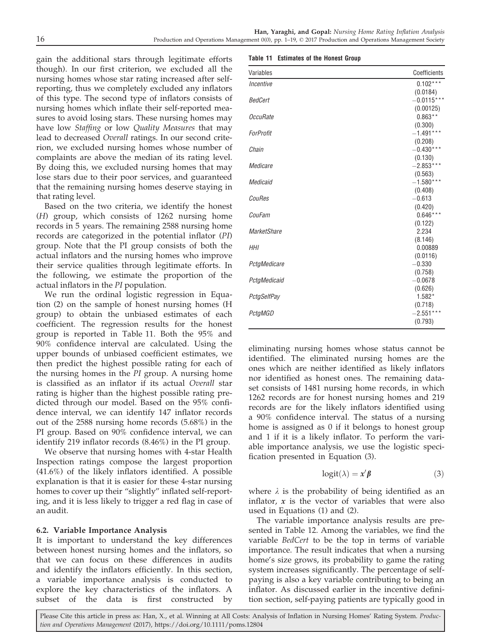gain the additional stars through legitimate efforts though). In our first criterion, we excluded all the nursing homes whose star rating increased after selfreporting, thus we completely excluded any inflators of this type. The second type of inflators consists of nursing homes which inflate their self-reported measures to avoid losing stars. These nursing homes may have low Staffing or low Quality Measures that may lead to decreased Overall ratings. In our second criterion, we excluded nursing homes whose number of complaints are above the median of its rating level. By doing this, we excluded nursing homes that may lose stars due to their poor services, and guaranteed that the remaining nursing homes deserve staying in that rating level.

Based on the two criteria, we identify the honest (H) group, which consists of 1262 nursing home records in 5 years. The remaining 2588 nursing home records are categorized in the potential inflator (PI) group. Note that the PI group consists of both the actual inflators and the nursing homes who improve their service qualities through legitimate efforts. In the following, we estimate the proportion of the actual inflators in the PI population.

We run the ordinal logistic regression in Equation (2) on the sample of honest nursing homes (H group) to obtain the unbiased estimates of each coefficient. The regression results for the honest group is reported in Table 11. Both the 95% and 90% confidence interval are calculated. Using the upper bounds of unbiased coefficient estimates, we the nursing homes in the PI group. A nursing home is classified as an inflator if its actual Overall star rating is higher than the highest possible rating predicted through our model. Based on the 95% confidence interval, we can identify 147 inflator records out of the 2588 nursing home records (5.68%) in the PI group. Based on 90% confidence interval, we can identify 219 inflator records (8.46%) in the PI group.

We observe that nursing homes with 4-star Health Inspection ratings compose the largest proportion (41.6%) of the likely inflators identified. A possible explanation is that it is easier for these 4-star nursing homes to cover up their "slightly" inflated self-reporting, and it is less likely to trigger a red flag in case of an audit.

#### 6.2. Variable Importance Analysis

It is important to understand the key differences between honest nursing homes and the inflators, so that we can focus on these differences in audits and identify the inflators efficiently. In this section, a variable importance analysis is conducted to explore the key characteristics of the inflators. A subset of the data is first constructed by

|  | Table 11 Estimates of the Honest Group |  |  |  |
|--|----------------------------------------|--|--|--|
|--|----------------------------------------|--|--|--|

| Incentive          | $0.102***$<br>(0.0184) |
|--------------------|------------------------|
|                    |                        |
|                    |                        |
| <b>BedCert</b>     | $-0.0115***$           |
|                    | (0.00125)              |
| OccuRate           | $0.863**$              |
|                    | (0.300)                |
| ForProfit          | $-1.491***$            |
|                    | (0.208)                |
| Chain              | $-0.430***$            |
|                    | (0.130)                |
| Medicare           | $-2.853***$            |
|                    | (0.563)                |
| <b>Medicaid</b>    | $-1.580***$            |
|                    | (0.408)                |
| CouRes             | $-0.613$               |
|                    | (0.420)<br>$0.646***$  |
| CouFam             | (0.122)                |
| <b>MarketShare</b> | 2.234                  |
|                    | (8.146)                |
| <b>HHI</b>         | 0.00889                |
|                    | (0.0116)               |
| PctgMedicare       | $-0.330$               |
|                    | (0.758)                |
| PctgMedicaid       | $-0.0678$              |
|                    | (0.626)                |
| PctgSelfPay        | $1.582*$               |
|                    | (0.718)                |
| PctgMGD            | $-2.551***$            |
|                    | (0.793)                |

eliminating nursing homes whose status cannot be identified. The eliminated nursing homes are the ones which are neither identified as likely inflators nor identified as honest ones. The remaining dataset consists of 1481 nursing home records, in which 1262 records are for honest nursing homes and 219 records are for the likely inflators identified using a 90% confidence interval. The status of a nursing home is assigned as 0 if it belongs to honest group and 1 if it is a likely inflator. To perform the variable importance analysis, we use the logistic specification presented in Equation (3).

$$
logit(\lambda) = x'\beta \tag{3}
$$

where  $\lambda$  is the probability of being identified as an inflator,  $x$  is the vector of variables that were also used in Equations (1) and (2).

The variable importance analysis results are presented in Table 12. Among the variables, we find the variable BedCert to be the top in terms of variable importance. The result indicates that when a nursing home's size grows, its probability to game the rating system increases significantly. The percentage of selfpaying is also a key variable contributing to being an inflator. As discussed earlier in the incentive definition section, self-paying patients are typically good in

then predict the highest possible rating for each of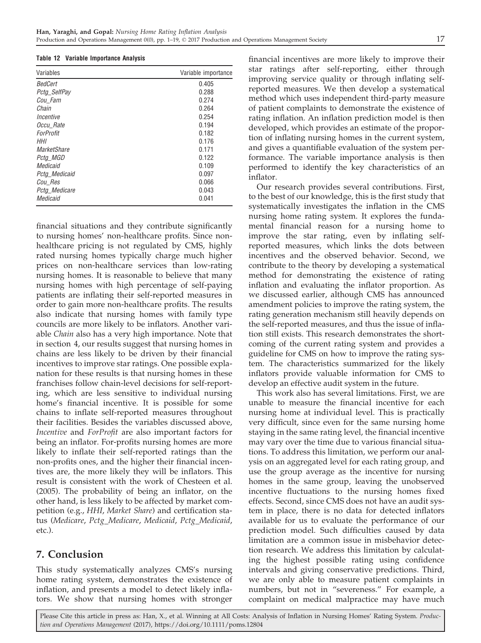Table 12 Variable Importance Analysis

| Variables      | Variable importance |
|----------------|---------------------|
| <b>BedCert</b> | 0.405               |
| Pctg SelfPay   | 0.288               |
| Cou_Fam        | 0.274               |
| Chain          | 0.264               |
| Incentive      | 0.254               |
| Occu Rate      | 0.194               |
| ForProfit      | 0.182               |
| HHI            | 0.176               |
| MarketShare    | 0.171               |
| Pctg MGD       | 0.122               |
| Medicaid       | 0.109               |
| Pctg Medicaid  | 0.097               |
| Cou Res        | 0.066               |
| Pctg_Medicare  | 0.043               |
| Medicaid       | 0.041               |

financial situations and they contribute significantly to nursing homes' non-healthcare profits. Since nonhealthcare pricing is not regulated by CMS, highly rated nursing homes typically charge much higher prices on non-healthcare services than low-rating nursing homes. It is reasonable to believe that many nursing homes with high percentage of self-paying patients are inflating their self-reported measures in order to gain more non-healthcare profits. The results also indicate that nursing homes with family type councils are more likely to be inflators. Another variable Chain also has a very high importance. Note that in section 4, our results suggest that nursing homes in chains are less likely to be driven by their financial incentives to improve star ratings. One possible explanation for these results is that nursing homes in these franchises follow chain-level decisions for self-reporting, which are less sensitive to individual nursing home's financial incentive. It is possible for some chains to inflate self-reported measures throughout their facilities. Besides the variables discussed above, Incentive and ForProfit are also important factors for being an inflator. For-profits nursing homes are more likely to inflate their self-reported ratings than the non-profits ones, and the higher their financial incentives are, the more likely they will be inflators. This result is consistent with the work of Chesteen et al. (2005). The probability of being an inflator, on the other hand, is less likely to be affected by market competition (e.g., HHI, Market Share) and certification status (Medicare, Pctg\_Medicare, Medicaid, Pctg\_Medicaid, etc.).

### 7. Conclusion

This study systematically analyzes CMS's nursing home rating system, demonstrates the existence of inflation, and presents a model to detect likely inflators. We show that nursing homes with stronger

financial incentives are more likely to improve their star ratings after self-reporting, either through improving service quality or through inflating selfreported measures. We then develop a systematical method which uses independent third-party measure of patient complaints to demonstrate the existence of rating inflation. An inflation prediction model is then developed, which provides an estimate of the proportion of inflating nursing homes in the current system, and gives a quantifiable evaluation of the system performance. The variable importance analysis is then performed to identify the key characteristics of an inflator.

Our research provides several contributions. First, to the best of our knowledge, this is the first study that systematically investigates the inflation in the CMS nursing home rating system. It explores the fundamental financial reason for a nursing home to improve the star rating, even by inflating selfreported measures, which links the dots between incentives and the observed behavior. Second, we contribute to the theory by developing a systematical method for demonstrating the existence of rating inflation and evaluating the inflator proportion. As we discussed earlier, although CMS has announced amendment policies to improve the rating system, the rating generation mechanism still heavily depends on the self-reported measures, and thus the issue of inflation still exists. This research demonstrates the shortcoming of the current rating system and provides a guideline for CMS on how to improve the rating system. The characteristics summarized for the likely inflators provide valuable information for CMS to develop an effective audit system in the future.

This work also has several limitations. First, we are unable to measure the financial incentive for each nursing home at individual level. This is practically very difficult, since even for the same nursing home staying in the same rating level, the financial incentive may vary over the time due to various financial situations. To address this limitation, we perform our analysis on an aggregated level for each rating group, and use the group average as the incentive for nursing homes in the same group, leaving the unobserved incentive fluctuations to the nursing homes fixed effects. Second, since CMS does not have an audit system in place, there is no data for detected inflators available for us to evaluate the performance of our prediction model. Such difficulties caused by data limitation are a common issue in misbehavior detection research. We address this limitation by calculating the highest possible rating using confidence intervals and giving conservative predictions. Third, we are only able to measure patient complaints in numbers, but not in "severeness." For example, a complaint on medical malpractice may have much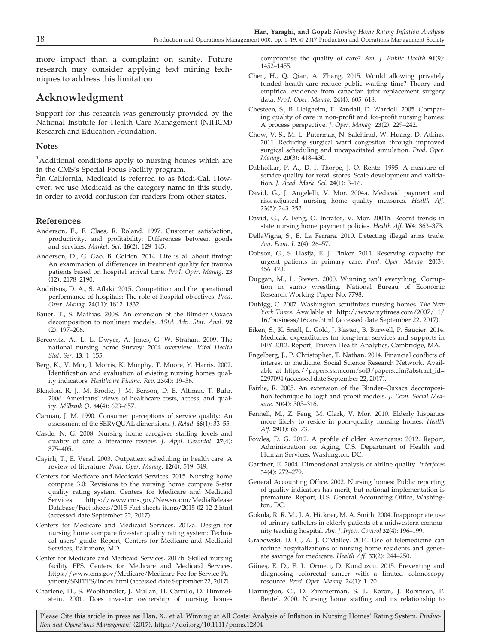more impact than a complaint on sanity. Future research may consider applying text mining techniques to address this limitation.

# Acknowledgment

Support for this research was generously provided by the National Institute for Health Care Management (NIHCM) Research and Education Foundation.

#### **Notes**

<sup>1</sup>Additional conditions apply to nursing homes which are in the CMS's Special Focus Facility program.

2 In California, Medicaid is referred to as Medi-Cal. However, we use Medicaid as the category name in this study, in order to avoid confusion for readers from other states.

#### References

- Anderson, E., F. Claes, R. Roland. 1997. Customer satisfaction, productivity, and profitability: Differences between goods and services. Market. Sci. 16(2): 129–145.
- Anderson, D., G. Gao, B. Golden. 2014. Life is all about timing: An examination of differences in treatment quality for trauma patients based on hospital arrival time. Prod. Oper. Manag. 23 (12): 2178–2190.
- Andritsos, D. A., S. Aflaki. 2015. Competition and the operational performance of hospitals: The role of hospital objectives. Prod. Oper. Manag. 24(11): 1812–1832.
- Bauer, T., S. Mathias. 2008. An extension of the Blinder–Oaxaca decomposition to nonlinear models. AStA Adv. Stat. Anal. 92 (2): 197–206.
- Bercovitz, A., L. L. Dwyer, A. Jones, G. W. Strahan. 2009. The national nursing home Survey: 2004 overview. Vital Health Stat. Ser. 13: 1–155.
- Berg, K., V. Mor, J. Morris, K. Murphy, T. Moore, Y. Harris. 2002. Identification and evaluation of existing nursing homes quality indicators. Healthcare Financ. Rev. 23(4): 19–36.
- Blendon, R. J., M. Brodie, J. M. Benson, D. E. Altman, T. Buhr. 2006. Americans' views of healthcare costs, access, and quality. Milbank Q. 84(4): 623–657.
- Carman, J. M. 1990. Consumer perceptions of service quality: An assessment of the SERVQUAL dimensions. J. Retail. 66(1): 33–55.
- Castle, N. G. 2008. Nursing home caregiver staffing levels and quality of care a literature review. J. Appl. Gerontol. 27(4): 375–405.
- Cayirli, T., E. Veral. 2003. Outpatient scheduling in health care: A review of literature. Prod. Oper. Manag. 12(4): 519–549.
- Centers for Medicare and Medicaid Services. 2015. Nursing home compare 3.0: Revisions to the nursing home compare 5-star quality rating system. Centers for Medicare and Medicaid Services. [https://www.cms.gov/Newsroom/MediaRelease](https://www.cms.gov/Newsroom/MediaReleaseDatabase/Fact-sheets/2015-Fact-sheets-items/2015-02-12-2.html) [Database/Fact-sheets/2015-Fact-sheets-items/2015-02-12-2.html](https://www.cms.gov/Newsroom/MediaReleaseDatabase/Fact-sheets/2015-Fact-sheets-items/2015-02-12-2.html) (accessed date September 22, 2017).
- Centers for Medicare and Medicaid Services. 2017a. Design for nursing home compare five-star quality rating system: Technical users' guide. Report, Centers for Medicare and Medicaid Services, Baltimore, MD.
- Center for Medicare and Medicaid Services. 2017b. Skilled nursing facility PPS. Centers for Medicare and Medicaid Services. [https://www.cms.gov/Medicare/Medicare-Fee-for-Service-Pa](https://www.cms.gov/Medicare/Medicare-Fee-for-Service-Payment/SNFPPS/index.html) [yment/SNFPPS/index.html](https://www.cms.gov/Medicare/Medicare-Fee-for-Service-Payment/SNFPPS/index.html) (accessed date September 22, 2017).
- Charlene, H., S. Woolhandler, J. Mullan, H. Carrillo, D. Himmelstein. 2001. Does investor ownership of nursing homes

compromise the quality of care? Am. J. Public Health 91(9): 1452–1455.

- Chen, H., Q. Qian, A. Zhang. 2015. Would allowing privately funded health care reduce public waiting time? Theory and empirical evidence from canadian joint replacement surgery data. Prod. Oper. Manag. 24(4): 605–618.
- Chesteen, S., B. Helgheim, T. Randall, D. Wardell. 2005. Comparing quality of care in non-profit and for-profit nursing homes: A process perspective. J. Oper. Manag. 23(2): 229-242.
- Chow, V. S., M. L. Puterman, N. Salehirad, W. Huang, D. Atkins. 2011. Reducing surgical ward congestion through improved surgical scheduling and uncapacitated simulation. Prod. Oper. Manag. 20(3): 418–430.
- Dabholkar, P. A., D. I. Thorpe, J. O. Rentz. 1995. A measure of service quality for retail stores: Scale development and validation. J. Acad. Mark. Sci. 24(1): 3–16.
- David, G., J. Angelelli, V. Mor. 2004a. Medicaid payment and risk-adjusted nursing home quality measures. Health Aff. 23(5): 243–252.
- David, G., Z. Feng, O. Intrator, V. Mor. 2004b. Recent trends in state nursing home payment policies. Health Aff. W4: 363-373.
- DellaVigna, S., E. La Ferrara. 2010. Detecting illegal arms trade. Am. Econ. J. 2(4): 26-57.
- Dobson, G., S. Hasija, E. J. Pinker. 2011. Reserving capacity for urgent patients in primary care. Prod. Oper. Manag. 20(3): 456–473.
- Duggan, M., L. Steven. 2000. Winning isn't everything: Corruption in sumo wrestling. National Bureau of Economic Research Working Paper No. 7798.
- Duhigg, C. 2007. Washington scrutinizes nursing homes. The New York Times. Available at [http://www.nytimes.com/2007/11/](http://www.nytimes.com/2007/11/16/business/16care.html) [16/business/16care.html](http://www.nytimes.com/2007/11/16/business/16care.html) (accessed date September 22, 2017).
- Eiken, S., K. Sredl, L. Gold, J. Kasten, B. Burwell, P. Saucier. 2014. Medicaid expenditures for long-term services and supports in FFY 2012. Report, Truven Health Analytics, Cambridge, MA.
- Engelberg, J., P. Christopher, T. Nathan. 2014. Financial conflicts of interest in medicine. Social Science Research Network. Available at [https://papers.ssrn.com/sol3/papers.cfm?abstract\\_id=](https://papers.ssrn.com/sol3/papers.cfm?abstract_id=2297094) [2297094](https://papers.ssrn.com/sol3/papers.cfm?abstract_id=2297094) (accessed date September 22, 2017).
- Fairlie, R. 2005. An extension of the Blinder–Oaxaca decomposition technique to logit and probit models. J. Econ. Social Measure. 30(4): 305–316.
- Fennell, M., Z. Feng, M. Clark, V. Mor. 2010. Elderly hispanics more likely to reside in poor-quality nursing homes. Health Aff. 29(1): 65–73.
- Fowles, D. G. 2012. A profile of older Americans: 2012. Report, Administration on Aging, U.S. Department of Health and Human Services, Washington, DC.
- Gardner, E. 2004. Dimensional analysis of airline quality. Interfaces 34(4): 272–279.
- General Accounting Office. 2002. Nursing homes: Public reporting of quality indicators has merit, but national implementation is premature. Report, U.S. General Accounting Office, Washington, DC.
- Gokula, R. R. M., J. A. Hickner, M. A. Smith. 2004. Inappropriate use of urinary catheters in elderly patients at a midwestern community teaching hospital. Am. J. Infect. Control 32(4): 196-199.
- Grabowski, D. C., A. J. O'Malley. 2014. Use of telemedicine can reduce hospitalizations of nursing home residents and generate savings for medicare. Health Aff. 33(2): 244–250.
- Günes, E. D., E. L. Örmeci, D. Kunduzcu. 2015. Preventing and diagnosing colorectal cancer with a limited colonoscopy resource. Prod. Oper. Manag. 24(1): 1–20.
- Harrington, C., D. Zimmerman, S. L. Karon, J. Robinson, P. Beutel. 2000. Nursing home staffing and its relationship to